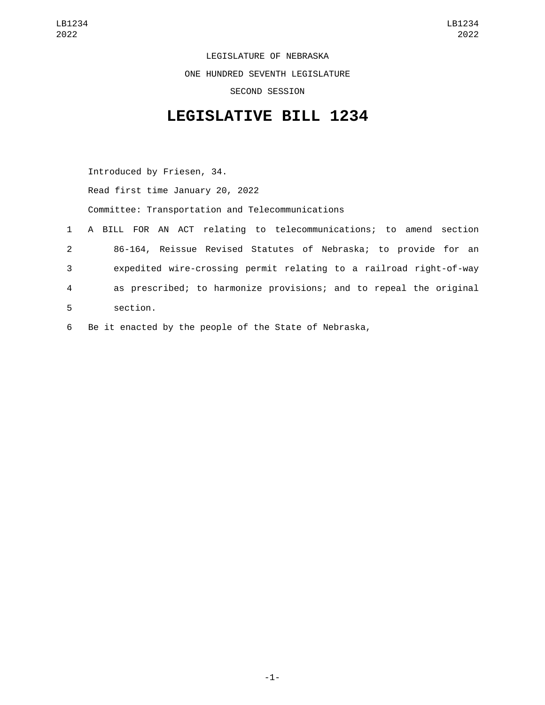LEGISLATURE OF NEBRASKA ONE HUNDRED SEVENTH LEGISLATURE SECOND SESSION

## **LEGISLATIVE BILL 1234**

Introduced by Friesen, 34. Read first time January 20, 2022 Committee: Transportation and Telecommunications 1 A BILL FOR AN ACT relating to telecommunications; to amend section 2 86-164, Reissue Revised Statutes of Nebraska; to provide for an 3 expedited wire-crossing permit relating to a railroad right-of-way 4 as prescribed; to harmonize provisions; and to repeal the original section.5

6 Be it enacted by the people of the State of Nebraska,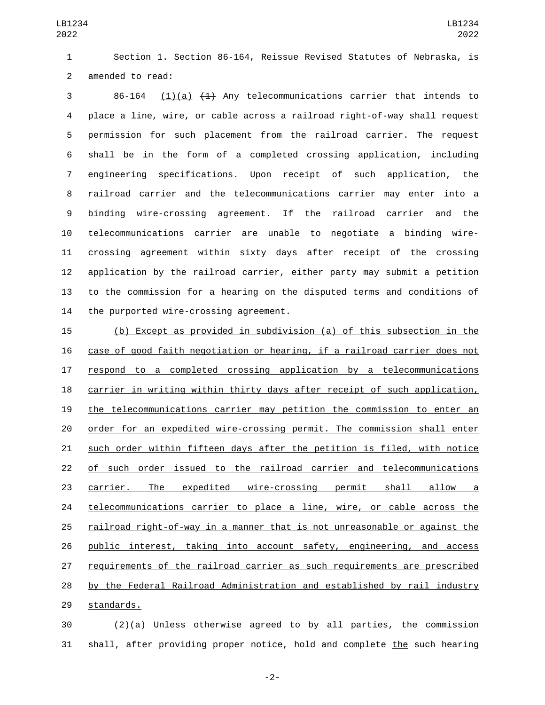Section 1. Section 86-164, Reissue Revised Statutes of Nebraska, is 2 amended to read:

 86-164 (1)(a)  $(1)$  Any telecommunications carrier that intends to place a line, wire, or cable across a railroad right-of-way shall request permission for such placement from the railroad carrier. The request shall be in the form of a completed crossing application, including engineering specifications. Upon receipt of such application, the railroad carrier and the telecommunications carrier may enter into a binding wire-crossing agreement. If the railroad carrier and the telecommunications carrier are unable to negotiate a binding wire- crossing agreement within sixty days after receipt of the crossing application by the railroad carrier, either party may submit a petition to the commission for a hearing on the disputed terms and conditions of 14 the purported wire-crossing agreement.

 (b) Except as provided in subdivision (a) of this subsection in the case of good faith negotiation or hearing, if a railroad carrier does not respond to a completed crossing application by a telecommunications carrier in writing within thirty days after receipt of such application, the telecommunications carrier may petition the commission to enter an order for an expedited wire-crossing permit. The commission shall enter such order within fifteen days after the petition is filed, with notice of such order issued to the railroad carrier and telecommunications carrier. The expedited wire-crossing permit shall allow a telecommunications carrier to place a line, wire, or cable across the railroad right-of-way in a manner that is not unreasonable or against the public interest, taking into account safety, engineering, and access requirements of the railroad carrier as such requirements are prescribed by the Federal Railroad Administration and established by rail industry 29 standards.

 (2)(a) Unless otherwise agreed to by all parties, the commission 31 shall, after providing proper notice, hold and complete the such hearing

-2-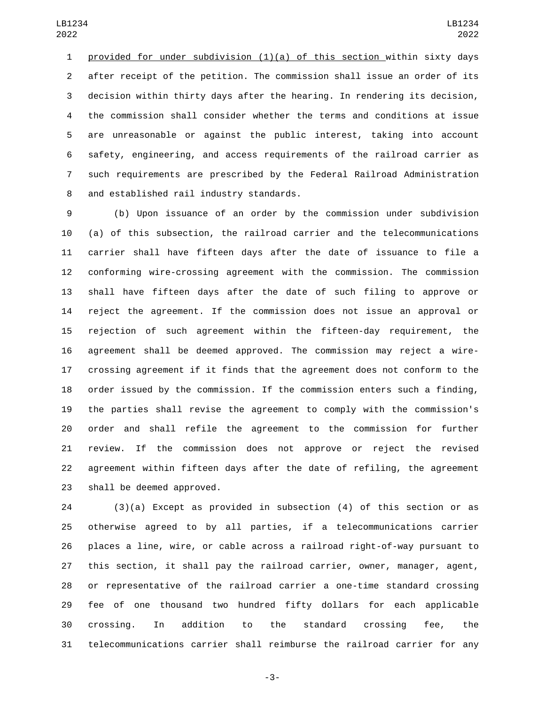provided for under subdivision (1)(a) of this section within sixty days after receipt of the petition. The commission shall issue an order of its decision within thirty days after the hearing. In rendering its decision, the commission shall consider whether the terms and conditions at issue are unreasonable or against the public interest, taking into account safety, engineering, and access requirements of the railroad carrier as such requirements are prescribed by the Federal Railroad Administration and established rail industry standards.8

 (b) Upon issuance of an order by the commission under subdivision (a) of this subsection, the railroad carrier and the telecommunications carrier shall have fifteen days after the date of issuance to file a conforming wire-crossing agreement with the commission. The commission shall have fifteen days after the date of such filing to approve or reject the agreement. If the commission does not issue an approval or rejection of such agreement within the fifteen-day requirement, the agreement shall be deemed approved. The commission may reject a wire- crossing agreement if it finds that the agreement does not conform to the order issued by the commission. If the commission enters such a finding, the parties shall revise the agreement to comply with the commission's order and shall refile the agreement to the commission for further review. If the commission does not approve or reject the revised agreement within fifteen days after the date of refiling, the agreement 23 shall be deemed approved.

 (3)(a) Except as provided in subsection (4) of this section or as otherwise agreed to by all parties, if a telecommunications carrier places a line, wire, or cable across a railroad right-of-way pursuant to this section, it shall pay the railroad carrier, owner, manager, agent, or representative of the railroad carrier a one-time standard crossing fee of one thousand two hundred fifty dollars for each applicable crossing. In addition to the standard crossing fee, the telecommunications carrier shall reimburse the railroad carrier for any

-3-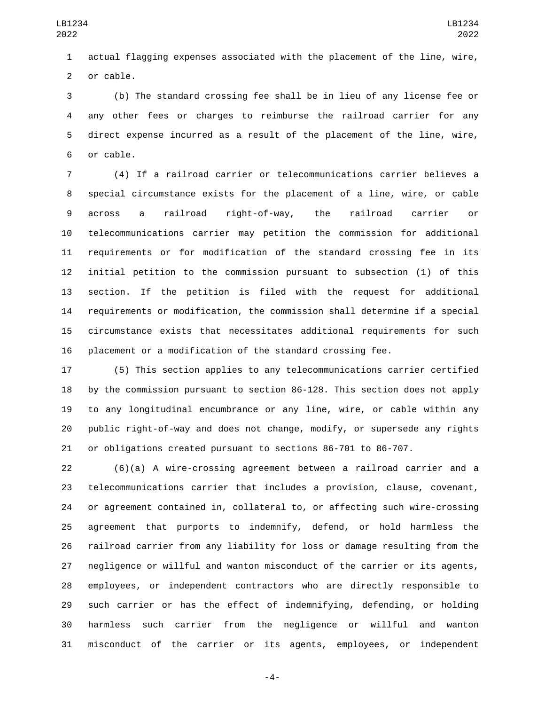actual flagging expenses associated with the placement of the line, wire, 2 or cable.

 (b) The standard crossing fee shall be in lieu of any license fee or any other fees or charges to reimburse the railroad carrier for any direct expense incurred as a result of the placement of the line, wire, 6 or cable.

 (4) If a railroad carrier or telecommunications carrier believes a special circumstance exists for the placement of a line, wire, or cable across a railroad right-of-way, the railroad carrier or telecommunications carrier may petition the commission for additional requirements or for modification of the standard crossing fee in its initial petition to the commission pursuant to subsection (1) of this section. If the petition is filed with the request for additional requirements or modification, the commission shall determine if a special circumstance exists that necessitates additional requirements for such placement or a modification of the standard crossing fee.

 (5) This section applies to any telecommunications carrier certified by the commission pursuant to section 86-128. This section does not apply to any longitudinal encumbrance or any line, wire, or cable within any public right-of-way and does not change, modify, or supersede any rights or obligations created pursuant to sections 86-701 to 86-707.

 (6)(a) A wire-crossing agreement between a railroad carrier and a telecommunications carrier that includes a provision, clause, covenant, or agreement contained in, collateral to, or affecting such wire-crossing agreement that purports to indemnify, defend, or hold harmless the railroad carrier from any liability for loss or damage resulting from the negligence or willful and wanton misconduct of the carrier or its agents, employees, or independent contractors who are directly responsible to such carrier or has the effect of indemnifying, defending, or holding harmless such carrier from the negligence or willful and wanton misconduct of the carrier or its agents, employees, or independent

-4-